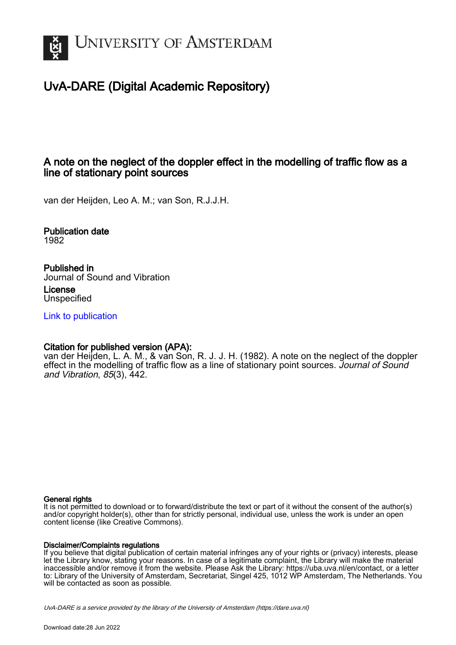

# UvA-DARE (Digital Academic Repository)

## A note on the neglect of the doppler effect in the modelling of traffic flow as a line of stationary point sources

van der Heijden, Leo A. M.; van Son, R.J.J.H.

Publication date 1982

Published in Journal of Sound and Vibration

License Unspecified

[Link to publication](https://dare.uva.nl/personal/pure/en/publications/a-note-on-the-neglect-of-the-doppler-effect-in-the-modelling-of-traffic-flow-as-a-line-of-stationary-point-sources(bc96f1b5-ded8-48bf-80bb-94710db1d83f).html)

### Citation for published version (APA):

van der Heijden, L. A. M., & van Son, R. J. J. H. (1982). A note on the neglect of the doppler effect in the modelling of traffic flow as a line of stationary point sources. Journal of Sound and Vibration, 85(3), 442.

#### General rights

It is not permitted to download or to forward/distribute the text or part of it without the consent of the author(s) and/or copyright holder(s), other than for strictly personal, individual use, unless the work is under an open content license (like Creative Commons).

#### Disclaimer/Complaints regulations

If you believe that digital publication of certain material infringes any of your rights or (privacy) interests, please let the Library know, stating your reasons. In case of a legitimate complaint, the Library will make the material inaccessible and/or remove it from the website. Please Ask the Library: https://uba.uva.nl/en/contact, or a letter to: Library of the University of Amsterdam, Secretariat, Singel 425, 1012 WP Amsterdam, The Netherlands. You will be contacted as soon as possible.

UvA-DARE is a service provided by the library of the University of Amsterdam (http*s*://dare.uva.nl)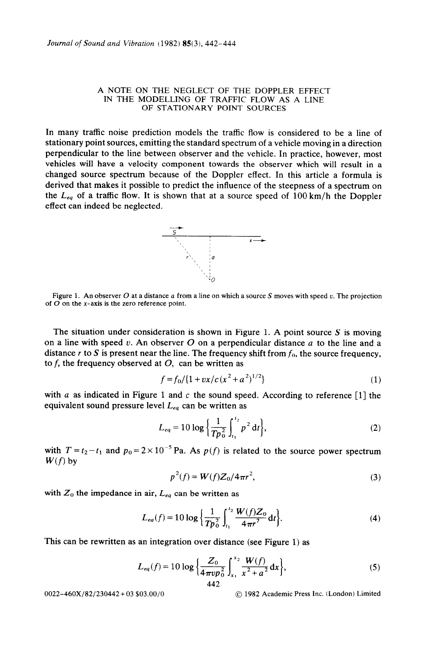#### A **NOTE ON THE NEGLECT OF THE DOPPLER EFFECT IN THE MODELLING OF TRAFFIC FLOW AS A LINE OF STATIONARY POINT SOURCES**

In many traffic noise prediction models the traffic flow is considered to be a line of stationary point sources, emitting the standard spectrum of a vehicle moving in a direction perpendicular to the line between observer and the vehicle. In practice, however, most vehicles will have a velocity component towards the observer which will result in a changed source spectrum because of the Doppler effect. In this article a formula is derived that makes it possible to predict the influence of the steepness of a spectrum on the  $L_{eq}$  of a traffic flow. It is shown that at a source speed of  $100 \text{ km/h}$  the Doppler effect can indeed be neglected.



Figure 1. An observer O at a distance a from a line on which a source S moves with speed v. The projection of  $\overline{O}$  on the x-axis is the zero reference point.

The situation under consideration is shown in Figure 1. A point source  $S$  is moving on a line with speed v. An observer O on a perpendicular distance a to the line and a distance  $r$  to S is present near the line. The frequency shift from  $f_0$ , the source frequency, to f, the frequency observed at  $O$ , can be written as

$$
f = f_0 / \{1 + vx/c(x^2 + a^2)^{1/2}\}\tag{1}
$$

with a as indicated in Figure 1 and c the sound speed. According to reference [1] the equivalent sound pressure level  $L_{eq}$  can be written as

$$
L_{eq} = 10 \log \left\{ \frac{1}{Tp_0^2} \int_{t_1}^{t_2} p^2 dt \right\},\tag{2}
$$

with  $T = t_2 - t_1$  and  $p_0 = 2 \times 10^{-5}$  Pa. As  $p(f)$  is related to the source power spectrum  $W(f)$  by

$$
p^{2}(f) = W(f)Z_{0}/4\pi r^{2},
$$
\n(3)

with  $Z_0$  the impedance in air,  $L_{ea}$  can be written as

$$
L_{eq}(f) = 10 \log \left\{ \frac{1}{Tp_0^2} \int_{t_1}^{t_2} \frac{W(f)Z_0}{4\pi r^2} dt \right\}.
$$
 (4)

This can be rewritten as an integration over distance (see Figure 1) as

$$
L_{eq}(f) = 10 \log \left\{ \frac{Z_0}{4 \pi \nu p_0^2} \int_{x_1}^{x_2} \frac{W(f)}{x^2 + a^2} dx \right\},\tag{5}
$$

0022-460X/82/230442 + 03 \$03.00/O @ 1982 Academic Press Inc. (London) Limited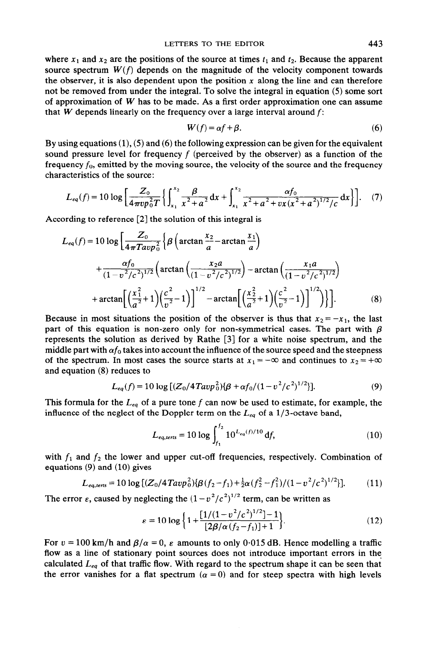where  $x_1$  and  $x_2$  are the positions of the source at times  $t_1$  and  $t_2$ . Because the apparent source spectrum  $W(f)$  depends on the magnitude of the velocity component towards the observer, it is also dependent upon the position  $x$  along the line and can therefore not be removed from under the integral. To solve the integral in equation (5) some sort of approximation of *W* has to be made. As a first order approximation one can assume that *W* depends linearly on the frequency over a large interval around  $f$ :

$$
W(f) = \alpha f + \beta. \tag{6}
$$

By using equations  $(1)$ ,  $(5)$  and  $(6)$  the following expression can be given for the equivalent sound pressure level for frequency  $f$  (perceived by the observer) as a function of the frequency  $f_0$ , emitted by the moving source, the velocity of the source and the frequency characteristics of the source:

$$
L_{eq}(f) = 10 \log \left[ \frac{Z_0}{4 \pi v p_0^2 T} \left\{ \int_{x_1}^{x_2} \frac{\beta}{x^2 + a^2} dx + \int_{x_1}^{x_2} \frac{\alpha f_0}{x^2 + a^2 + v x (x^2 + a^2)^{1/2} / c} dx \right\} \right].
$$
 (7)

According to reference [2] the solution of this integral is

$$
L_{eq}(f) = 10 \log \left[ \frac{Z_0}{4\pi T a v p_0^2} \left\{ \beta \left( \arctan \frac{x_2}{a} - \arctan \frac{x_1}{a} \right) \right.\right.+ \frac{\alpha f_0}{(1 - v^2/c^2)^{1/2}} \left( \arctan \left( \frac{x_2 a}{(1 - v^2/c^2)^{1/2}} \right) - \arctan \left( \frac{x_1 a}{(1 - v^2/c^2)^{1/2}} \right) \right.+ \arctan \left[ \left( \frac{x_1^2}{a^2} + 1 \right) \left( \frac{c^2}{v^2} - 1 \right) \right]^{1/2} - \arctan \left[ \left( \frac{x_2^2}{a^2} + 1 \right) \left( \frac{c^2}{v^2} - 1 \right) \right]^{1/2} \right] \right]. \tag{8}
$$

Because in most situations the position of the observer is thus that  $x_2 = -x_1$ , the last part of this equation is non-zero only for non-symmetrical cases. The part with  $\beta$ represents the solution as derived by Rathe [3] for a white noise spectrum, and the middle part with  $\alpha f_0$  takes into account the influence of the source speed and the steepness of the spectrum. In most cases the source starts at  $x_1 = -\infty$  and continues to  $x_2 = +\infty$ and equation (8) reduces to

$$
L_{eq}(f) = 10 \log \left[ (Z_0/4T a v p_0^2) \{ \beta + \alpha f_0 / (1 - v^2/c^2)^{1/2} \} \right].
$$
 (9)

This formula for the  $L_{eq}$  of a pure tone f can now be used to estimate, for example, the influence of the neglect of the Doppler term on the  $L_{eq}$  of a 1/3-octave band,

$$
L_{eq,terts} = 10 \log \int_{f_1}^{f_2} 10^{L_{eq}(f)/10} df,
$$
 (10)

with  $f_1$  and  $f_2$  the lower and upper cut-off frequencies, respectively. Combination of equations (9) and (10) gives

$$
L_{eq,terts} = 10 \log \left[ (Z_0/4 \tan^2 \theta_0^2) \{ \beta (f_2 - f_1) + \frac{1}{2} \alpha (f_2^2 - f_1^2) / (1 - v^2/c^2)^{1/2} \} \right].
$$
 (11)

The error  $\varepsilon$ , caused by neglecting the  $(1 - v^2/c^2)^{1/2}$  term, can be written as

$$
\varepsilon = 10 \log \left\{ 1 + \frac{\left[ 1/(1 - v^2/c^2)^{1/2} \right] - 1}{\left[ 2\beta/\alpha \left( f_2 - f_1 \right) \right] + 1} \right\}.
$$
 (12)

For  $v = 100$  km/h and  $\beta/\alpha = 0$ ,  $\varepsilon$  amounts to only 0.015 dB. Hence modelling a traffic flow as a line of stationary point sources does not introduce important errors in the calculated  $L_{eq}$  of that traffic flow. With regard to the spectrum shape it can be seen that the error vanishes for a flat spectrum ( $\alpha = 0$ ) and for steep spectra with high levels